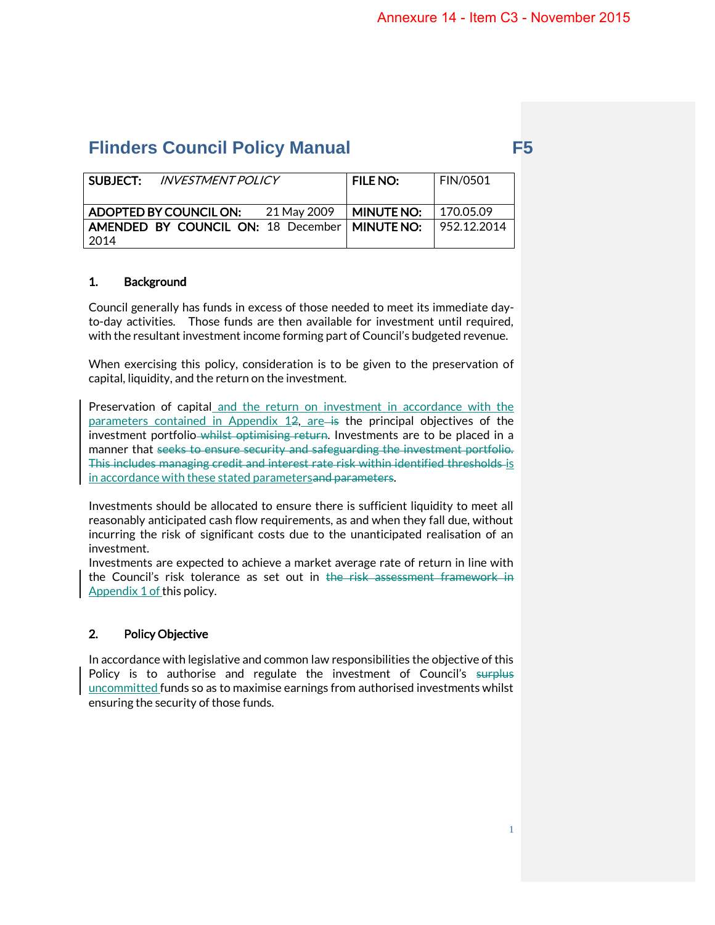| SUBJECT:<br><i>INVESTMENT POLICY</i>            | <b>FILE NO:</b> | <b>FIN/0501</b> |
|-------------------------------------------------|-----------------|-----------------|
| ADOPTED BY COUNCIL ON:<br>21 May 2009           | MINUTE NO:      | 170.05.09       |
| AMENDED BY COUNCIL ON: 18 December   MINUTE NO: |                 | 952.12.2014     |
| 2014                                            |                 |                 |

# 1. Background

Council generally has funds in excess of those needed to meet its immediate dayto-day activities. Those funds are then available for investment until required, with the resultant investment income forming part of Council's budgeted revenue.

When exercising this policy, consideration is to be given to the preservation of capital, liquidity, and the return on the investment.

Preservation of capital and the return on investment in accordance with the parameters contained in Appendix  $12$ , are is the principal objectives of the investment portfolio-whilst optimising return. Investments are to be placed in a manner that seeks to ensure security and safeguarding the investment portfolio. This includes managing credit and interest rate risk within identified thresholds is in accordance with these stated parametersand parameters.

Investments should be allocated to ensure there is sufficient liquidity to meet all reasonably anticipated cash flow requirements, as and when they fall due, without incurring the risk of significant costs due to the unanticipated realisation of an investment.

Investments are expected to achieve a market average rate of return in line with the Council's risk tolerance as set out in the risk assessment framework in Appendix 1 of this policy.

# 2. Policy Objective

In accordance with legislative and common law responsibilities the objective of this Policy is to authorise and regulate the investment of Council's surplus uncommitted funds so as to maximise earnings from authorised investments whilst ensuring the security of those funds.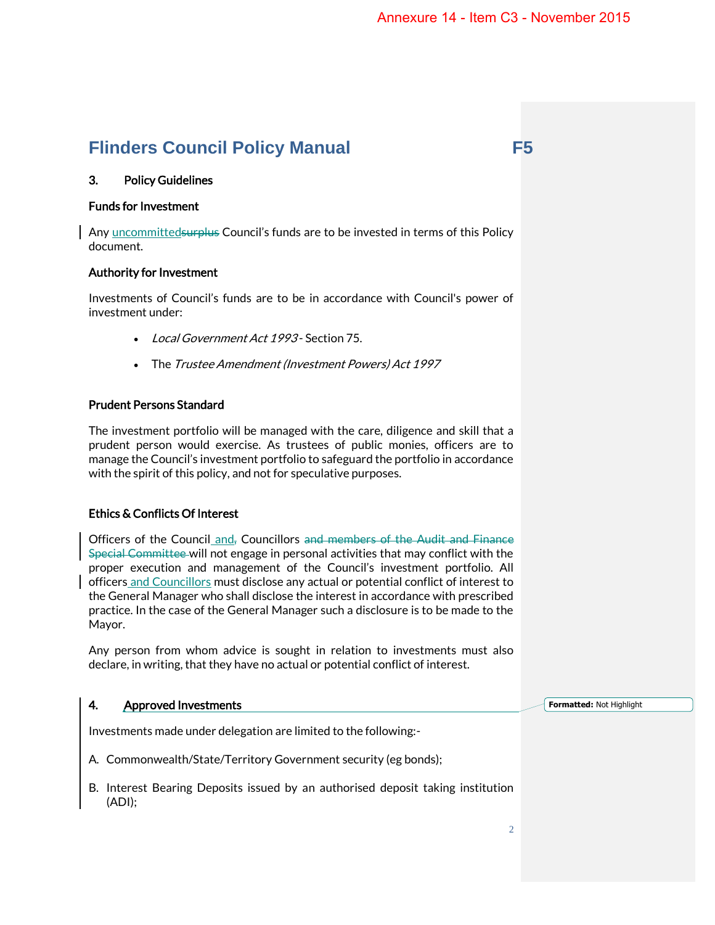# 3. Policy Guidelines

### Funds for Investment

Any uncommittedsurplus Council's funds are to be invested in terms of this Policy document.

#### Authority for Investment

Investments of Council's funds are to be in accordance with Council's power of investment under:

- Local Government Act 1993 Section 75.
- The Trustee Amendment (Investment Powers) Act 1997

## Prudent Persons Standard

The investment portfolio will be managed with the care, diligence and skill that a prudent person would exercise. As trustees of public monies, officers are to manage the Council's investment portfolio to safeguard the portfolio in accordance with the spirit of this policy, and not for speculative purposes.

# Ethics & Conflicts Of Interest

Officers of the Council and, Councillors and members of the Audit and Finance Special Committee will not engage in personal activities that may conflict with the proper execution and management of the Council's investment portfolio. All officers and Councillors must disclose any actual or potential conflict of interest to the General Manager who shall disclose the interest in accordance with prescribed practice. In the case of the General Manager such a disclosure is to be made to the Mayor.

Any person from whom advice is sought in relation to investments must also declare, in writing, that they have no actual or potential conflict of interest.

### 4. Approved Investments

**Formatted:** Not Highlight

Investments made under delegation are limited to the following:-

- A. Commonwealth/State/Territory Government security (eg bonds);
- B. Interest Bearing Deposits issued by an authorised deposit taking institution (ADI);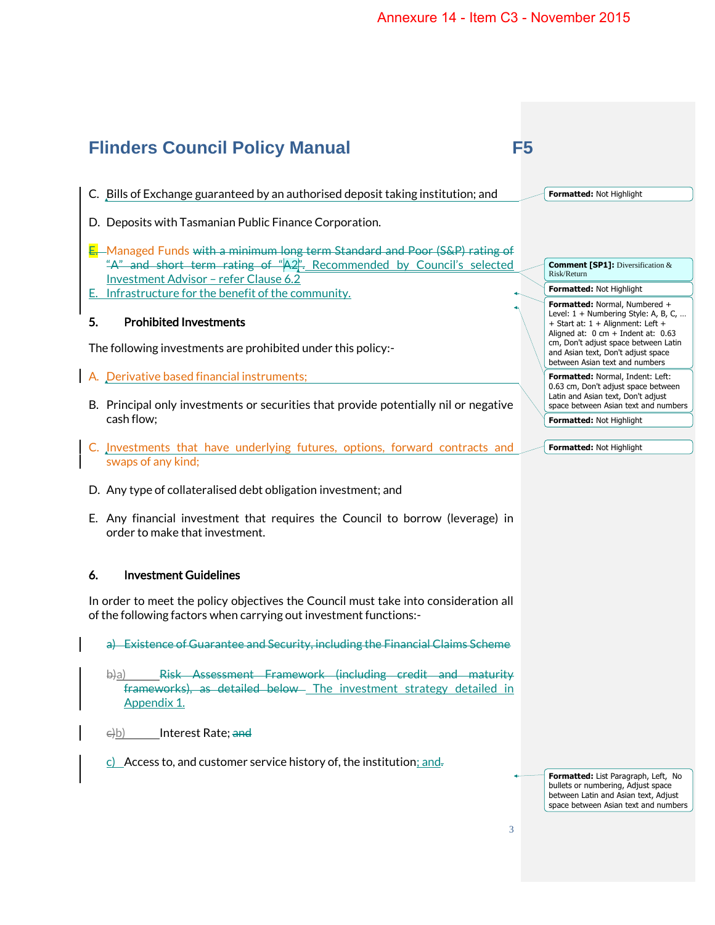#### **Flinders Council Policy Manual F5** C. Bills of Exchange guaranteed by an authorised deposit taking institution; and D. Deposits with Tasmanian Public Finance Corporation. E. Managed Funds with a minimum long term Standard and Poor (S&P) rating of "A" and short term rating of "A2". Recommended by Council's selected Investment Advisor – refer Clause 6.2 E. Infrastructure for the benefit of the community. 5. Prohibited Investments The following investments are prohibited under this policy:- A. Derivative based financial instruments; B. Principal only investments or securities that provide potentially nil or negative cash flow; C. Investments that have underlying futures, options, forward contracts and swaps of any kind; D. Any type of collateralised debt obligation investment; and E. Any financial investment that requires the Council to borrow (leverage) in **Formatted:** Not Highlight **Comment [SP1]:** Diversification & Risk/Return **Formatted:** Not Highlight **Formatted:** Normal, Numbered + Level: 1 + Numbering Style: A, B, C, … + Start at: 1 + Alignment: Left + Aligned at: 0 cm + Indent at: 0.63 cm, Don't adjust space between Latin and Asian text, Don't adjust space between Asian text and numbers **Formatted:** Normal, Indent: Left: 0.63 cm, Don't adjust space between Latin and Asian text, Don't adjust space between Asian text and numbers **Formatted:** Not Highlight **Formatted:** Not Highlight

# 6. Investment Guidelines

order to make that investment.

In order to meet the policy objectives the Council must take into consideration all of the following factors when carrying out investment functions:-

a) Existence of Guarantee and Security, including the Financial Claims Scheme

b)a) Risk Assessment Framework (including credit and maturity frameworks), as detailed below The investment strategy detailed in Appendix 1.

e)b) Interest Rate; and

 $c)$  Access to, and customer service history of, the institution; and.

**Formatted:** List Paragraph, Left, No bullets or numbering, Adjust space between Latin and Asian text, Adjust space between Asian text and numbers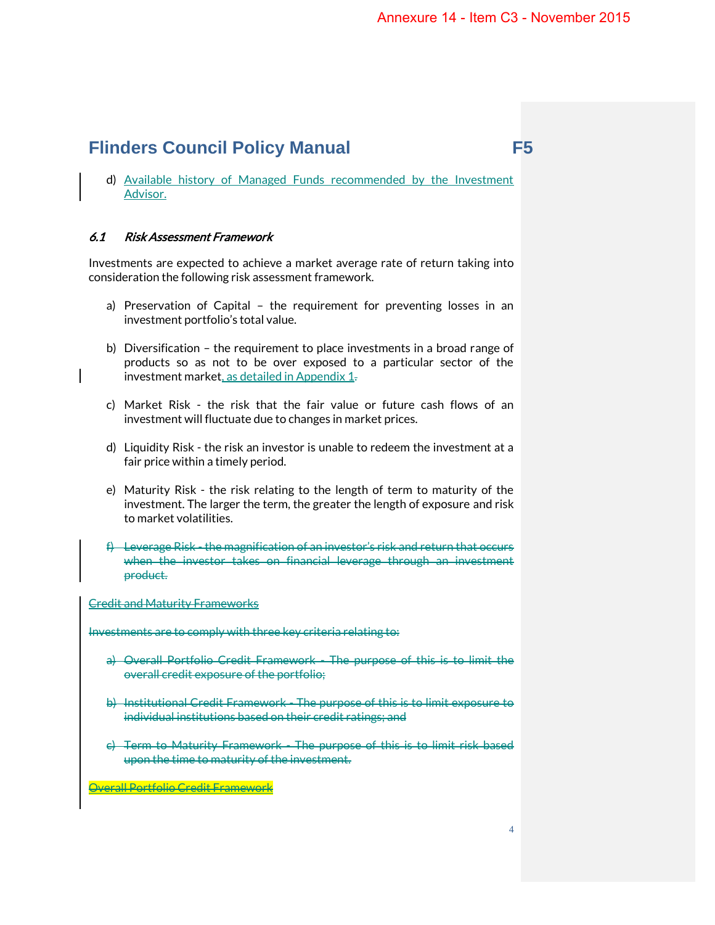d) Available history of Managed Funds recommended by the Investment Advisor.

# 6.1 Risk Assessment Framework

Investments are expected to achieve a market average rate of return taking into consideration the following risk assessment framework.

- a) Preservation of Capital the requirement for preventing losses in an investment portfolio's total value.
- b) Diversification the requirement to place investments in a broad range of products so as not to be over exposed to a particular sector of the investment market, as detailed in Appendix 1.
- c) Market Risk the risk that the fair value or future cash flows of an investment will fluctuate due to changes in market prices.
- d) Liquidity Risk the risk an investor is unable to redeem the investment at a fair price within a timely period.
- e) Maturity Risk the risk relating to the length of term to maturity of the investment. The larger the term, the greater the length of exposure and risk to market volatilities.
- f) Leverage Risk the magnification of an investor's risk and return that occurs when the investor takes on financial leverage through an investment product.

Credit and Maturity Frameworks

Investments are to comply with three key criteria relating to:

- a) Overall Portfolio Credit Framework The purpose of this is to limit the overall credit exposure of the portfolio;
- b) Institutional Credit Framework The purpose of this is to limit exposure to individual institutions based on their credit ratings; and
- c) Term to Maturity Framework The purpose of this is to limit risk based upon the time to maturity of the investment.

Overall Portfolio Credit Framework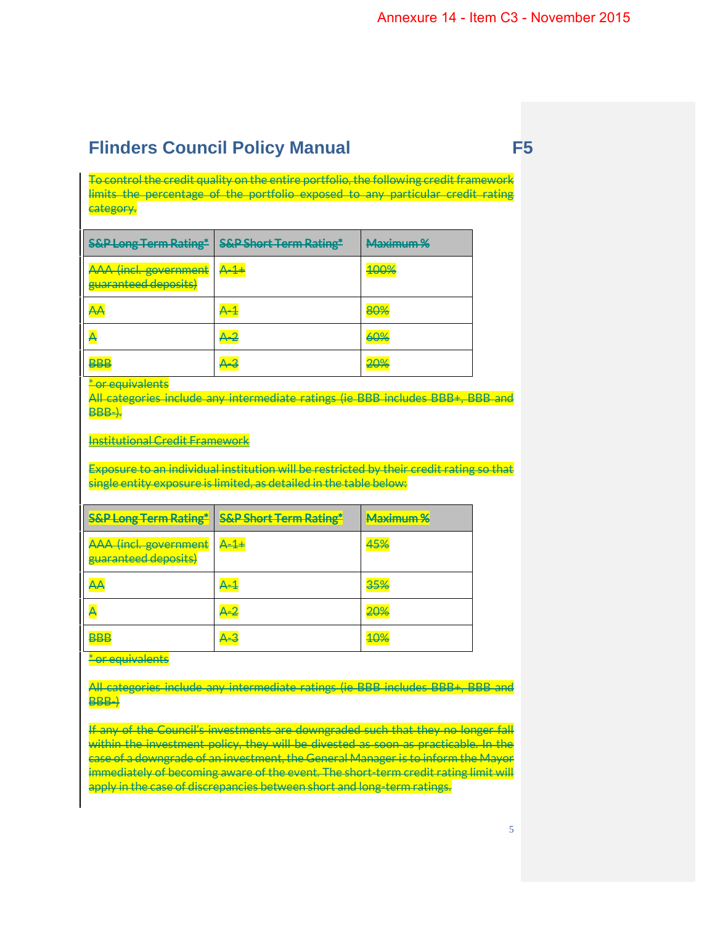To control the credit quality on the entire portfolio, the following credit framework limits the percentage of the portfolio exposed to any particular credit rating category.

| <b>S&amp;P Long Term Rating*</b>                     | <b>S&amp;P Short Term Rating*</b> | Maximum % |
|------------------------------------------------------|-----------------------------------|-----------|
| <b>AAA</b> (incl. government<br>guaranteed deposits) | $A - 1 +$                         | 100%      |
| АA                                                   |                                   | 80%       |
|                                                      | 4–2                               | 60%       |
|                                                      |                                   | 20%       |

\* or equivalents

All categories include any intermediate ratings (ie BBB includes BBB+, BBB and BBB-).

Institutional Credit Framework

Exposure to an individual institution will be restricted by their credit rating so that single entity exposure is limited, as detailed in the table below:

| <b>S&amp;P Long Term Rating*</b>              | <b>S&amp;P Short Term Rating*</b>      | Maximum %      |
|-----------------------------------------------|----------------------------------------|----------------|
| AAA (incl. government<br>guaranteed deposits) | $\mathsf{A}\text{-}\mathsf{1}\text{+}$ | 45%            |
| $\overline{\mathsf{A}}$                       |                                        | 35%            |
|                                               | 4–2                                    | <del>20%</del> |
| BBB                                           |                                        | <b>TU7</b>     |

\* or equivalents

All categories include any intermediate ratings (ie BBB includes BBB+, BBB and BBB-)

If any of the Council's investments are downgraded such that they no longer fall within the investment policy, they will be divested as soon as practicable. In the case of a downgrade of an investment, the General Manager is to inform the Mayor immediately of becoming aware of the event. The short-term credit rating limit will apply in the case of discrepancies between short and long-term ratings.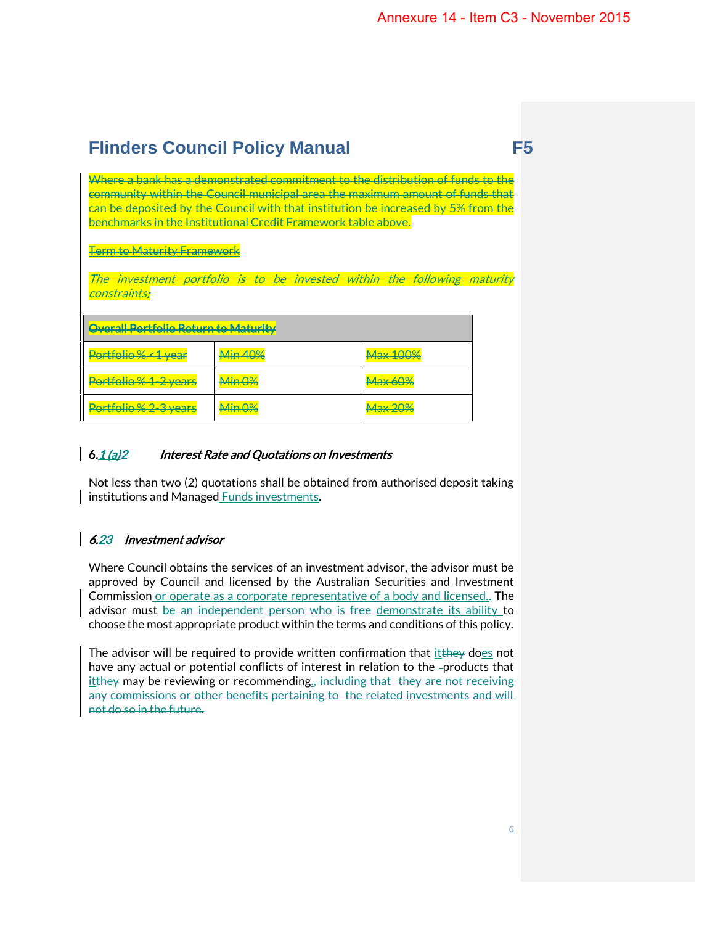Where a bank has a demonstrated commitment to the distribution of funds to the community within the Council municipal area the maximum amount of funds that can be deposited by the Council with that institution be increased by 5% from the benchmarks in the Institutional Credit Framework table above.

Term to Maturity Framework

The investment portfolio is to be invested within the following maturity constraints:

| Overall Portfolio Return to Maturity |                          |                          |  |
|--------------------------------------|--------------------------|--------------------------|--|
| <del>'ortfolio % &lt; 1 year</del>   |                          | <b>TEVIOLI</b>           |  |
| Portfolio % 1-2 years                | $\lim 0$<br><del>.</del> | <del>widiye digiyê</del> |  |
| <u>lio &amp; 2-3 voors</u>           |                          |                          |  |

# 6.1 (a) 2 Interest Rate and Quotations on Investments

Not less than two (2) quotations shall be obtained from authorised deposit taking institutions and Managed Funds investments.

# 6.23 Investment advisor

Where Council obtains the services of an investment advisor, the advisor must be approved by Council and licensed by the Australian Securities and Investment Commission or operate as a corporate representative of a body and licensed.. The advisor must be an independent person who is free-demonstrate its ability to choose the most appropriate product within the terms and conditions of this policy.

The advisor will be required to provide written confirmation that itthey does not have any actual or potential conflicts of interest in relation to the -products that  $it$  tellstappy may be reviewing or recommending<sub>z</sub>, including that they are not receiving any commissions or other benefits pertaining to the related investments and will not do so in the future.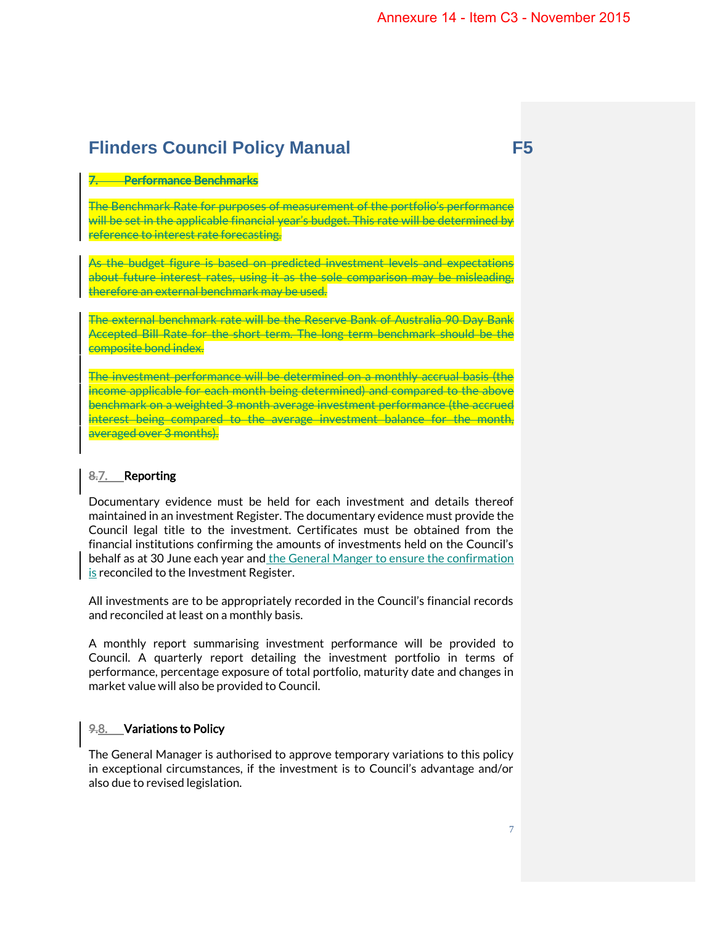# 7. Performance Benchmarks

The Benchmark Rate for purposes of measurement of the portfolio's performance will be set in the applicable financial year's budget. This rate will be determined by reference to interest rate forecasting.

As the budget figure is based on predicted investment levels and expectations about future interest rates, using it as the sole comparison may be misleading, therefore an external benchmark may be used.

The external benchmark rate will be the Reserve Bank of Australia 90 Day Bank Accepted Bill Rate for the short term. The long term benchmark should be the composite bond index.

The investment performance will be determined on a monthly accrual basis (the income applicable for each month being determined) and compared to the above benchmark on a weighted 3 month average investment performance (the accrued interest being compared to the average investment balance for the month, averaged over 3 months).

## 8.7. Reporting

Documentary evidence must be held for each investment and details thereof maintained in an investment Register. The documentary evidence must provide the Council legal title to the investment. Certificates must be obtained from the financial institutions confirming the amounts of investments held on the Council's behalf as at 30 June each year and the General Manger to ensure the confirmation is reconciled to the Investment Register.

All investments are to be appropriately recorded in the Council's financial records and reconciled at least on a monthly basis.

A monthly report summarising investment performance will be provided to Council. A quarterly report detailing the investment portfolio in terms of performance, percentage exposure of total portfolio, maturity date and changes in market value will also be provided to Council.

### 9.8. Variations to Policy

The General Manager is authorised to approve temporary variations to this policy in exceptional circumstances, if the investment is to Council's advantage and/or also due to revised legislation.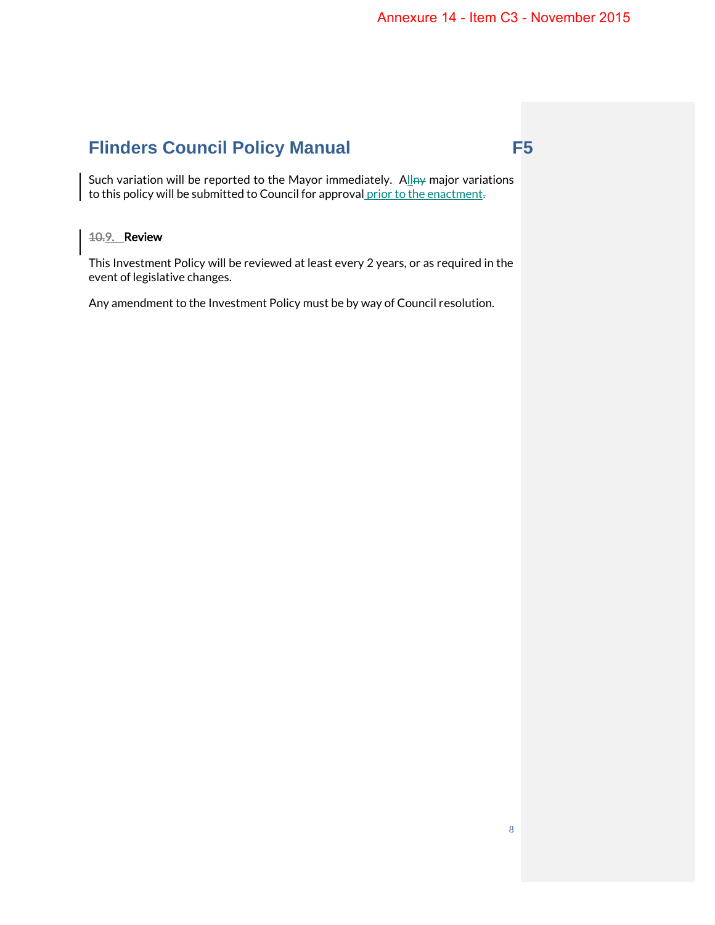Such variation will be reported to the Mayor immediately. Allny major variations to this policy will be submitted to Council for approval prior to the enactment-

# 10.9. Review

This Investment Policy will be reviewed at least every 2 years, or as required in the event of legislative changes.

Any amendment to the Investment Policy must be by way of Council resolution.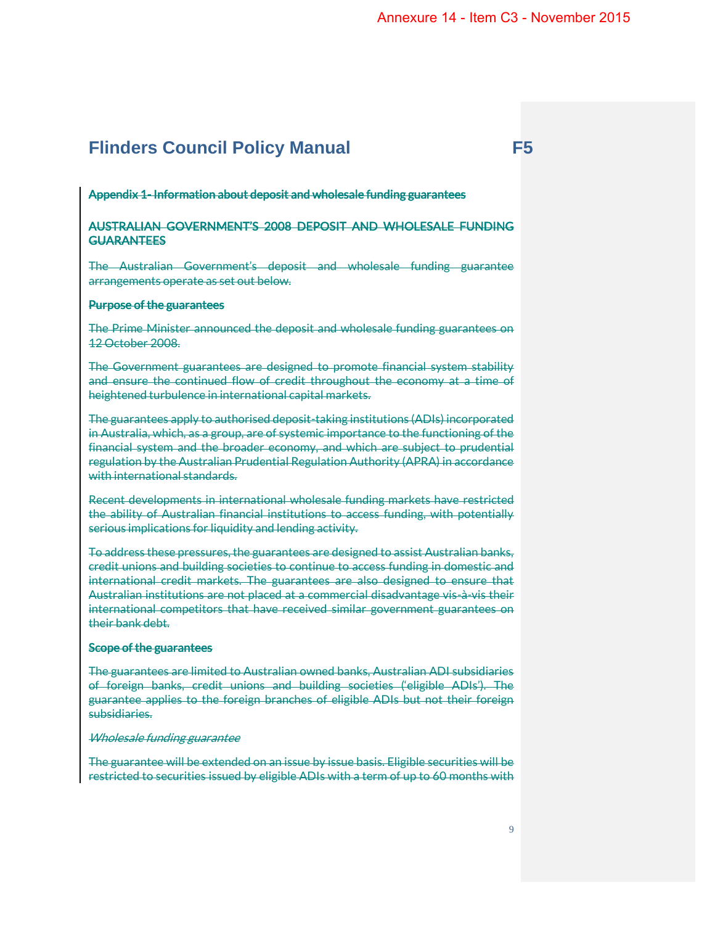#### Appendix 1- Information about deposit and wholesale funding guarantees

## AUSTRALIAN GOVERNMENT'S 2008 DEPOSIT AND WHOLESALE FUNDING **GUARANTEES**

The Australian Government's deposit and wholesale funding guarantee arrangements operate as set out below.

#### Purpose of the guarantees

The Prime Minister announced the deposit and wholesale funding guarantees on 12 October 2008.

The Government guarantees are designed to promote financial system stability and ensure the continued flow of credit throughout the economy at a time of heightened turbulence in international capital markets.

The guarantees apply to authorised deposit-taking institutions (ADIs) incorporated in Australia, which, as a group, are of systemic importance to the functioning of the financial system and the broader economy, and which are subject to prudential regulation by the Australian Prudential Regulation Authority (APRA) in accordance with international standards.

Recent developments in international wholesale funding markets have restricted the ability of Australian financial institutions to access funding, with potentially serious implications for liquidity and lending activity.

To address these pressures, the guarantees are designed to assist Australian banks, credit unions and building societies to continue to access funding in domestic and international credit markets. The guarantees are also designed to ensure that Australian institutions are not placed at a commercial disadvantage vis-à-vis their international competitors that have received similar government guarantees on their bank debt.

#### Scope of the guarantees

The guarantees are limited to Australian owned banks, Australian ADI subsidiaries of foreign banks, credit unions and building societies ('eligible ADIs'). The guarantee applies to the foreign branches of eligible ADIs but not their foreign subsidiaries.

### Wholesale funding guarantee

The guarantee will be extended on an issue by issue basis. Eligible securities will be restricted to securities issued by eligible ADIs with a term of up to 60 months with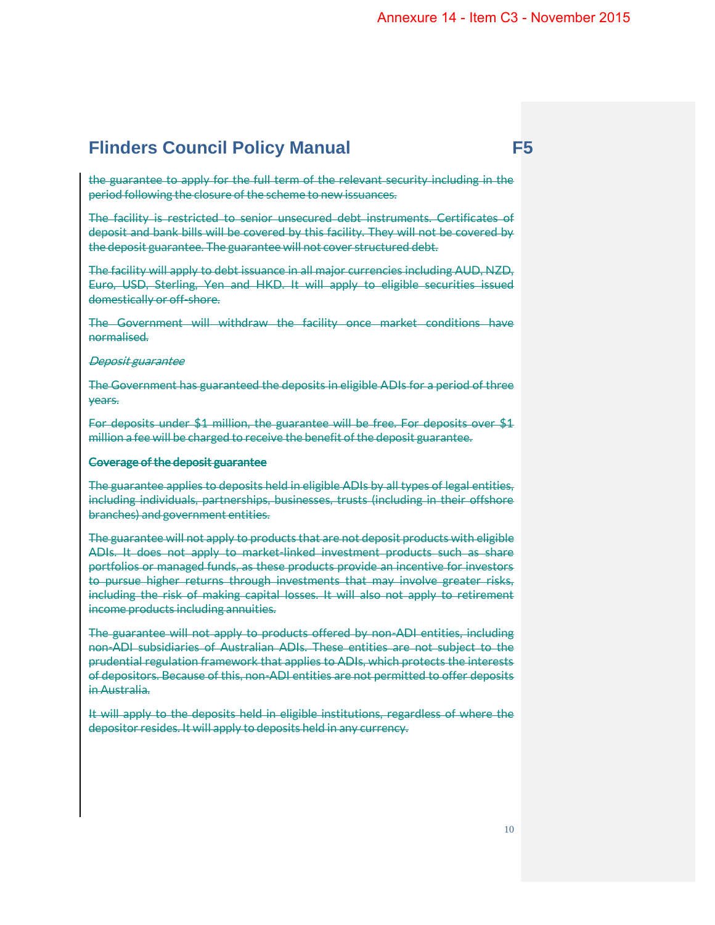the guarantee to apply for the full term of the relevant security including in the period following the closure of the scheme to new issuances.

The facility is restricted to senior unsecured debt instruments. Certificates of deposit and bank bills will be covered by this facility. They will not be covered by the deposit guarantee. The guarantee will not cover structured debt.

The facility will apply to debt issuance in all major currencies including AUD, NZD, Euro, USD, Sterling, Yen and HKD. It will apply to eligible securities issued domestically or off-shore.

The Government will withdraw the facility once market conditions have normalised.

#### Deposit guarantee

The Government has guaranteed the deposits in eligible ADIs for a period of three years.

For deposits under \$1 million, the guarantee will be free. For deposits over \$1 million a fee will be charged to receive the benefit of the deposit guarantee.

## Coverage of the deposit guarantee

The guarantee applies to deposits held in eligible ADIs by all types of legal entities, including individuals, partnerships, businesses, trusts (including in their offshore branches) and government entities.

The guarantee will not apply to products that are not deposit products with eligible ADIs. It does not apply to market-linked investment products such as share portfolios or managed funds, as these products provide an incentive for investors to pursue higher returns through investments that may involve greater risks, including the risk of making capital losses. It will also not apply to retirement income products including annuities.

The guarantee will not apply to products offered by non-ADI entities, including non-ADI subsidiaries of Australian ADIs. These entities are not subject to the prudential regulation framework that applies to ADIs, which protects the interests of depositors. Because of this, non-ADI entities are not permitted to offer deposits in Australia.

It will apply to the deposits held in eligible institutions, regardless of where the depositor resides. It will apply to deposits held in any currency.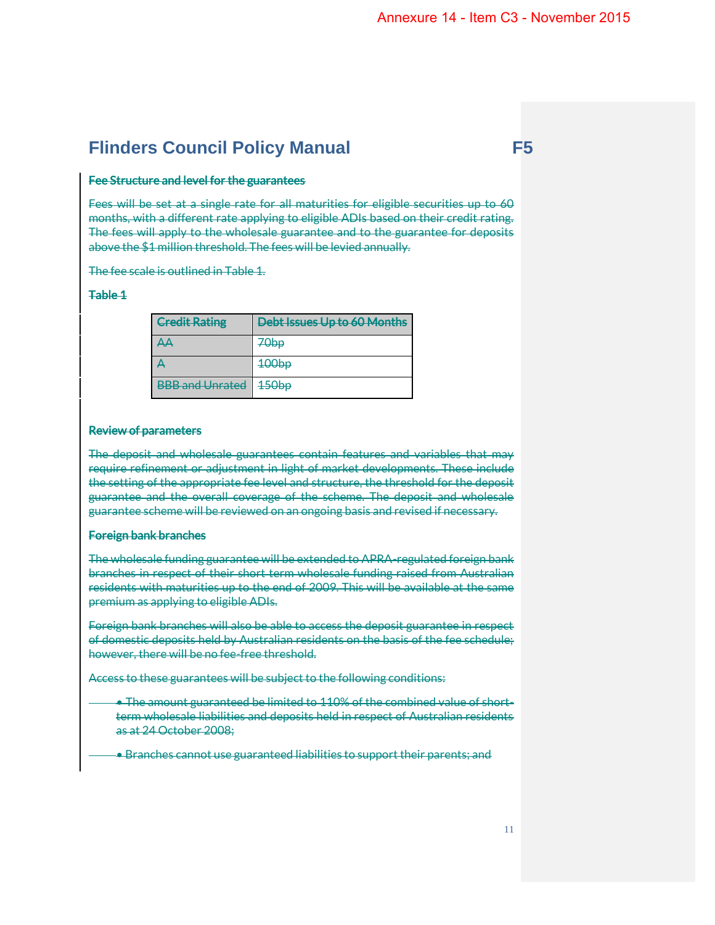## Fee Structure and level for the guarantees

Fees will be set at a single rate for all maturities for eligible securities up to 60 months, with a different rate applying to eligible ADIs based on their credit rating. The fees will apply to the wholesale guarantee and to the guarantee for deposits above the \$1 million threshold. The fees will be levied annually.

The fee scale is outlined in Table 1.

# Table 1

| <b>Credit Rating</b>                                | Debt Issues Up to 60 Months |
|-----------------------------------------------------|-----------------------------|
| $\Delta A$                                          | 70bp                        |
| д                                                   | 400 <sub>bp</sub>           |
| <b>RRR</b> and Unrated<br><del>DDD and Omatcu</del> | 450 <sub>bp</sub>           |

# Review of parameters

The deposit and wholesale guarantees contain features and variables that may require refinement or adjustment in light of market developments. These include the setting of the appropriate fee level and structure, the threshold for the deposit guarantee and the overall coverage of the scheme. The deposit and wholesale guarantee scheme will be reviewed on an ongoing basis and revised if necessary.

### Foreign bank branches

The wholesale funding guarantee will be extended to APRA-regulated foreign bank branches in respect of their short term wholesale funding raised from Australian residents with maturities up to the end of 2009. This will be available at the same premium as applying to eligible ADIs.

Foreign bank branches will also be able to access the deposit guarantee in respect of domestic deposits held by Australian residents on the basis of the fee schedule; however, there will be no fee-free threshold.

Access to these guarantees will be subject to the following conditions:

- The amount guaranteed be limited to 110% of the combined value of shortterm wholesale liabilities and deposits held in respect of Australian residents as at 24 October 2008;
- Branches cannot use guaranteed liabilities to support their parents; and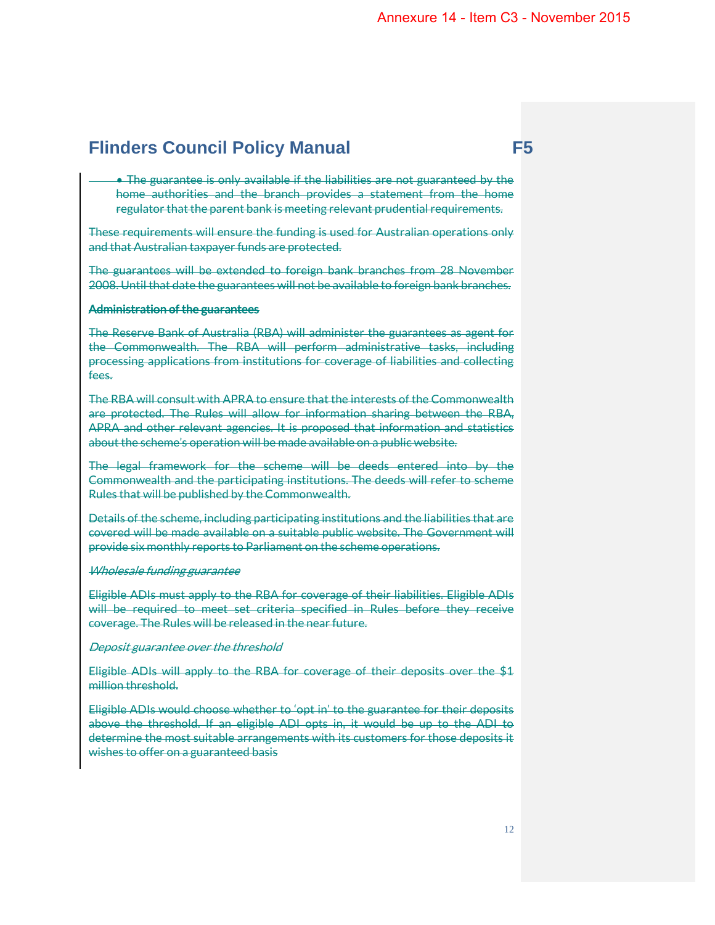• The guarantee is only available if the liabilities are not guaranteed by the home authorities and the branch provides a statement from the home regulator that the parent bank is meeting relevant prudential requirements.

These requirements will ensure the funding is used for Australian operations only and that Australian taxpayer funds are protected.

The guarantees will be extended to foreign bank branches from 28 November 2008. Until that date the guarantees will not be available to foreign bank branches.

# Administration of the guarantees

The Reserve Bank of Australia (RBA) will administer the guarantees as agent for the Commonwealth. The RBA will perform administrative tasks, including processing applications from institutions for coverage of liabilities and collecting fees.

The RBA will consult with APRA to ensure that the interests of the Commonwealth are protected. The Rules will allow for information sharing between the RBA, APRA and other relevant agencies. It is proposed that information and statistics about the scheme's operation will be made available on a public website.

The legal framework for the scheme will be deeds entered into by the Commonwealth and the participating institutions. The deeds will refer to scheme Rules that will be published by the Commonwealth.

Details of the scheme, including participating institutions and the liabilities that are covered will be made available on a suitable public website. The Government will provide six monthly reports to Parliament on the scheme operations.

#### Wholesale funding guarantee

Eligible ADIs must apply to the RBA for coverage of their liabilities. Eligible ADIs will be required to meet set criteria specified in Rules before they receive coverage. The Rules will be released in the near future.

#### Deposit guarantee over the threshold

Eligible ADIs will apply to the RBA for coverage of their deposits over the \$1 million threshold.

Eligible ADIs would choose whether to 'opt in' to the guarantee for their deposits above the threshold. If an eligible ADI opts in, it would be up to the ADI to determine the most suitable arrangements with its customers for those deposits it wishes to offer on a guaranteed basis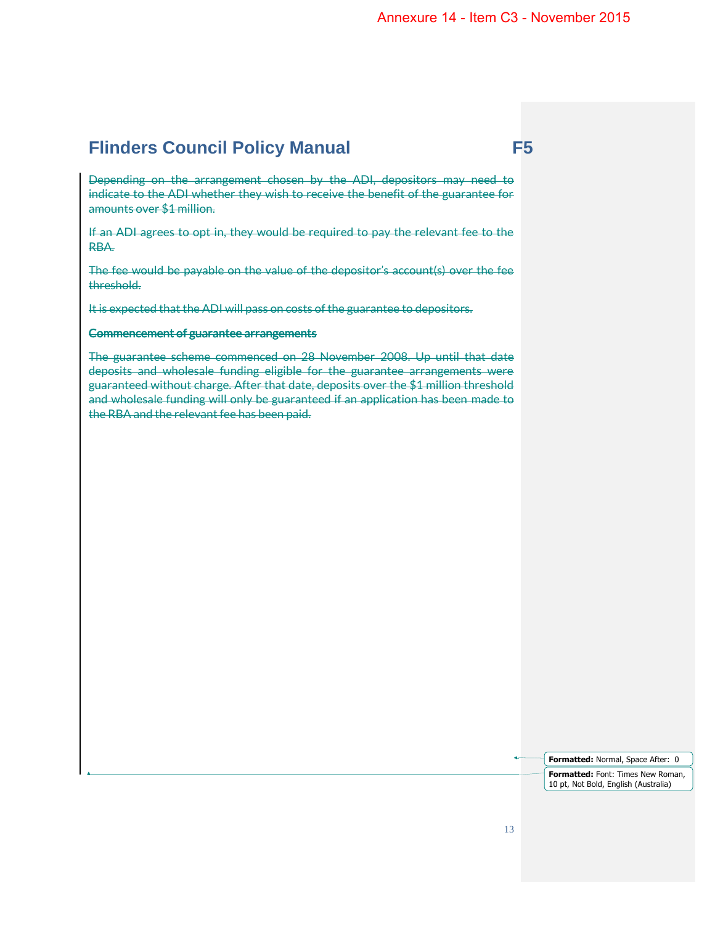Depending on the arrangement chosen by the ADI, depositors may need to indicate to the ADI whether they wish to receive the benefit of the guarantee for amounts over \$1 million.

If an ADI agrees to opt in, they would be required to pay the relevant fee to the RBA.

The fee would be payable on the value of the depositor's account(s) over the fee threshold.

It is expected that the ADI will pass on costs of the guarantee to depositors.

#### Commencement of guarantee arrangements

The guarantee scheme commenced on 28 November 2008. Up until that date deposits and wholesale funding eligible for the guarantee arrangements were guaranteed without charge. After that date, deposits over the \$1 million threshold and wholesale funding will only be guaranteed if an application has been made to the RBA and the relevant fee has been paid.

> **Formatted:** Normal, Space After: 0 **Formatted:** Font: Times New Roman, 10 pt, Not Bold, English (Australia)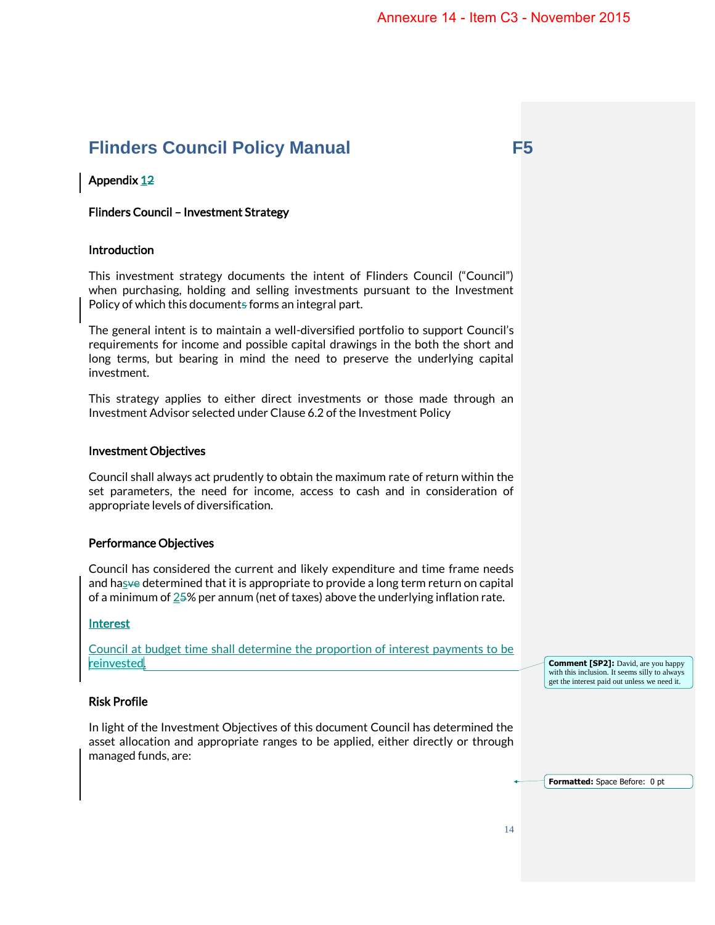# Appendix 12

# Flinders Council – Investment Strategy

# Introduction

This investment strategy documents the intent of Flinders Council ("Council") when purchasing, holding and selling investments pursuant to the Investment Policy of which this documents forms an integral part.

The general intent is to maintain a well-diversified portfolio to support Council's requirements for income and possible capital drawings in the both the short and long terms, but bearing in mind the need to preserve the underlying capital investment.

This strategy applies to either direct investments or those made through an Investment Advisor selected under Clause 6.2 of the Investment Policy

### Investment Objectives

Council shall always act prudently to obtain the maximum rate of return within the set parameters, the need for income, access to cash and in consideration of appropriate levels of diversification.

# Performance Objectives

Council has considered the current and likely expenditure and time frame needs and hasve determined that it is appropriate to provide a long term return on capital of a minimum of  $25%$  per annum (net of taxes) above the underlying inflation rate.

# Interest

Council at budget time shall determine the proportion of interest payments to be reinvested.

**Comment [SP2]:** David, are you happy with this inclusion. It seems silly to always get the interest paid out unless we need it.

**Formatted:** Space Before: 0 pt

# Risk Profile

In light of the Investment Objectives of this document Council has determined the asset allocation and appropriate ranges to be applied, either directly or through managed funds, are: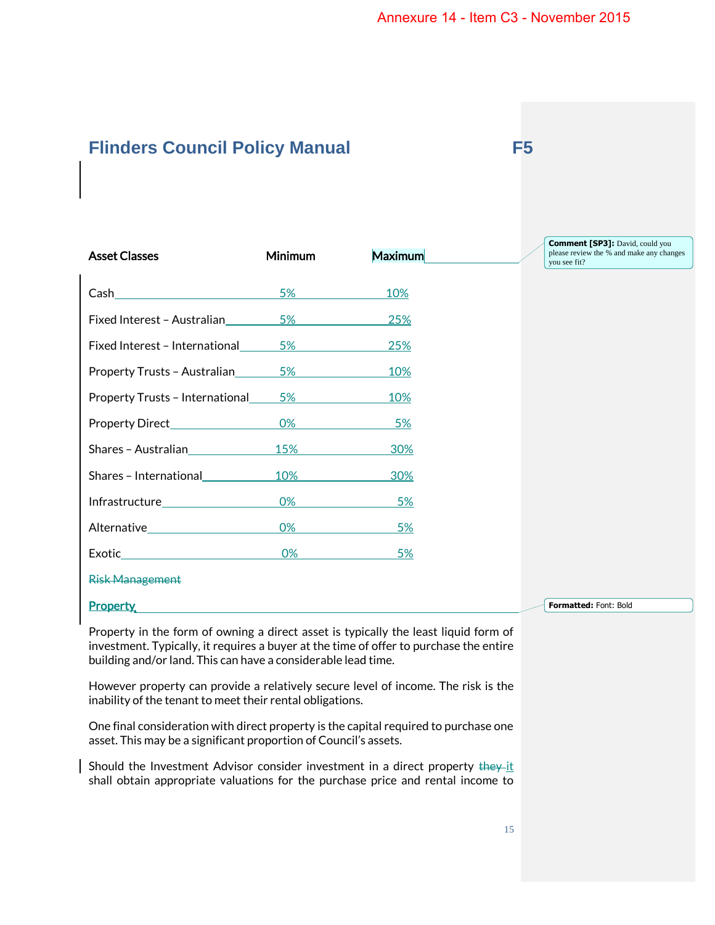| <b>Asset Classes</b>            | Minimum | Maximum   | <b>Comment [SP3]:</b> David, could you<br>please review the % and make any changes<br>you see fit? |
|---------------------------------|---------|-----------|----------------------------------------------------------------------------------------------------|
| Cash                            | 5%      | 10%       |                                                                                                    |
| Fixed Interest - Australian     | 5%      | 25%       |                                                                                                    |
| Fixed Interest - International  | $5\%$   | 25%       |                                                                                                    |
| Property Trusts - Australian    | 5%      | 10%       |                                                                                                    |
| Property Trusts - International | 5%      | 10%       |                                                                                                    |
| Property Direct____________     | 0%      | 5%        |                                                                                                    |
| Shares - Australian             | 15%     | 30%       |                                                                                                    |
| Shares - International          | 10%     | 30%       |                                                                                                    |
|                                 | 0%      | 5%        |                                                                                                    |
|                                 | 0%      | <u>5%</u> |                                                                                                    |
| Exotic                          | 0%      | 5%        |                                                                                                    |
| <b>Risk Management</b>          |         |           |                                                                                                    |
| <b>Property</b>                 |         |           | Formatted: Font: Bold                                                                              |

Property in the form of owning a direct asset is typically the least liquid form of investment. Typically, it requires a buyer at the time of offer to purchase the entire building and/or land. This can have a considerable lead time.

However property can provide a relatively secure level of income. The risk is the inability of the tenant to meet their rental obligations.

One final consideration with direct property is the capital required to purchase one asset. This may be a significant proportion of Council's assets.

Should the Investment Advisor consider investment in a direct property they it shall obtain appropriate valuations for the purchase price and rental income to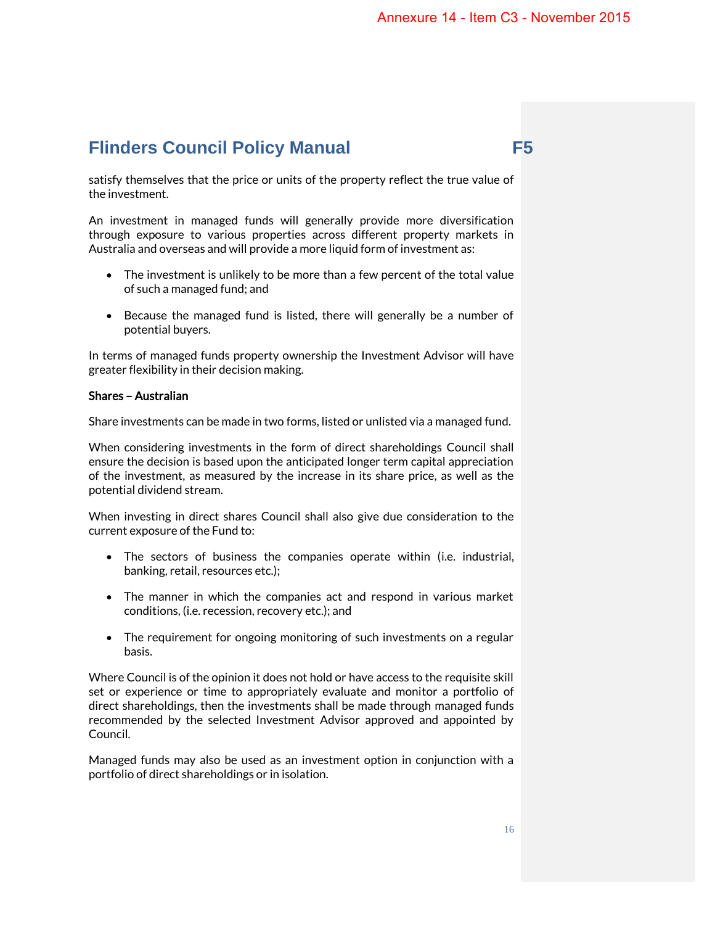satisfy themselves that the price or units of the property reflect the true value of the investment.

An investment in managed funds will generally provide more diversification through exposure to various properties across different property markets in Australia and overseas and will provide a more liquid form of investment as:

- The investment is unlikely to be more than a few percent of the total value of such a managed fund; and
- Because the managed fund is listed, there will generally be a number of potential buyers.

In terms of managed funds property ownership the Investment Advisor will have greater flexibility in their decision making.

# Shares – Australian

Share investments can be made in two forms, listed or unlisted via a managed fund.

When considering investments in the form of direct shareholdings Council shall ensure the decision is based upon the anticipated longer term capital appreciation of the investment, as measured by the increase in its share price, as well as the potential dividend stream.

When investing in direct shares Council shall also give due consideration to the current exposure of the Fund to:

- The sectors of business the companies operate within (i.e. industrial, banking, retail, resources etc.);
- The manner in which the companies act and respond in various market conditions, (i.e. recession, recovery etc.); and
- The requirement for ongoing monitoring of such investments on a regular basis.

Where Council is of the opinion it does not hold or have access to the requisite skill set or experience or time to appropriately evaluate and monitor a portfolio of direct shareholdings, then the investments shall be made through managed funds recommended by the selected Investment Advisor approved and appointed by Council.

Managed funds may also be used as an investment option in conjunction with a portfolio of direct shareholdings or in isolation.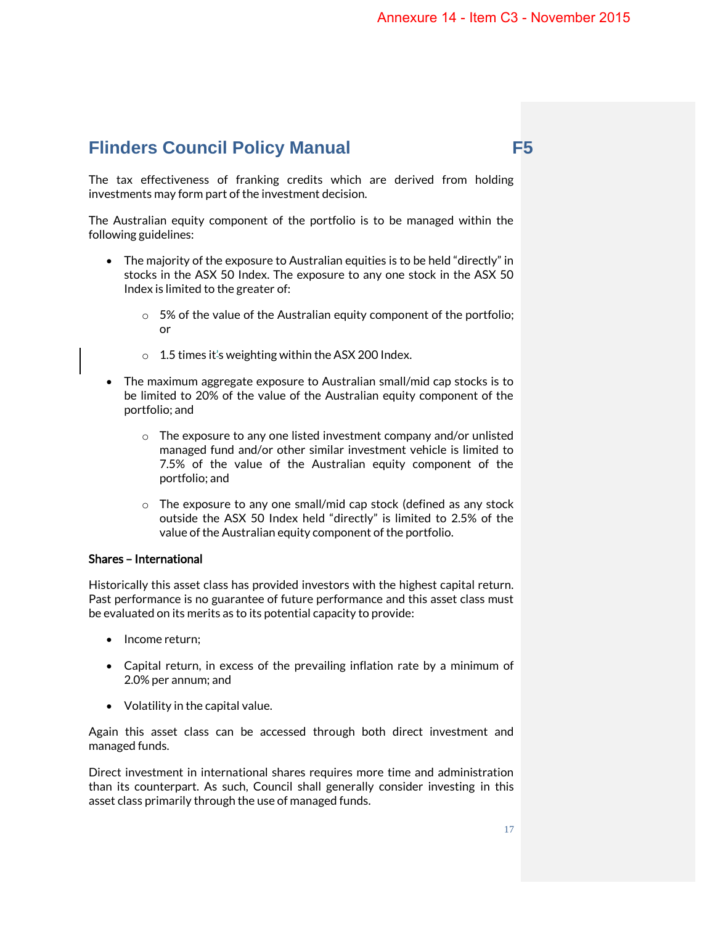The tax effectiveness of franking credits which are derived from holding investments may form part of the investment decision.

The Australian equity component of the portfolio is to be managed within the following guidelines:

- The majority of the exposure to Australian equities is to be held "directly" in stocks in the ASX 50 Index. The exposure to any one stock in the ASX 50 Index is limited to the greater of:
	- o 5% of the value of the Australian equity component of the portfolio; or
	- $\circ$  1.5 times it's weighting within the ASX 200 Index.
- The maximum aggregate exposure to Australian small/mid cap stocks is to be limited to 20% of the value of the Australian equity component of the portfolio; and
	- o The exposure to any one listed investment company and/or unlisted managed fund and/or other similar investment vehicle is limited to 7.5% of the value of the Australian equity component of the portfolio; and
	- o The exposure to any one small/mid cap stock (defined as any stock outside the ASX 50 Index held "directly" is limited to 2.5% of the value of the Australian equity component of the portfolio.

### Shares – International

Historically this asset class has provided investors with the highest capital return. Past performance is no guarantee of future performance and this asset class must be evaluated on its merits as to its potential capacity to provide:

- Income return;
- Capital return, in excess of the prevailing inflation rate by a minimum of 2.0% per annum; and
- Volatility in the capital value.

Again this asset class can be accessed through both direct investment and managed funds.

Direct investment in international shares requires more time and administration than its counterpart. As such, Council shall generally consider investing in this asset class primarily through the use of managed funds.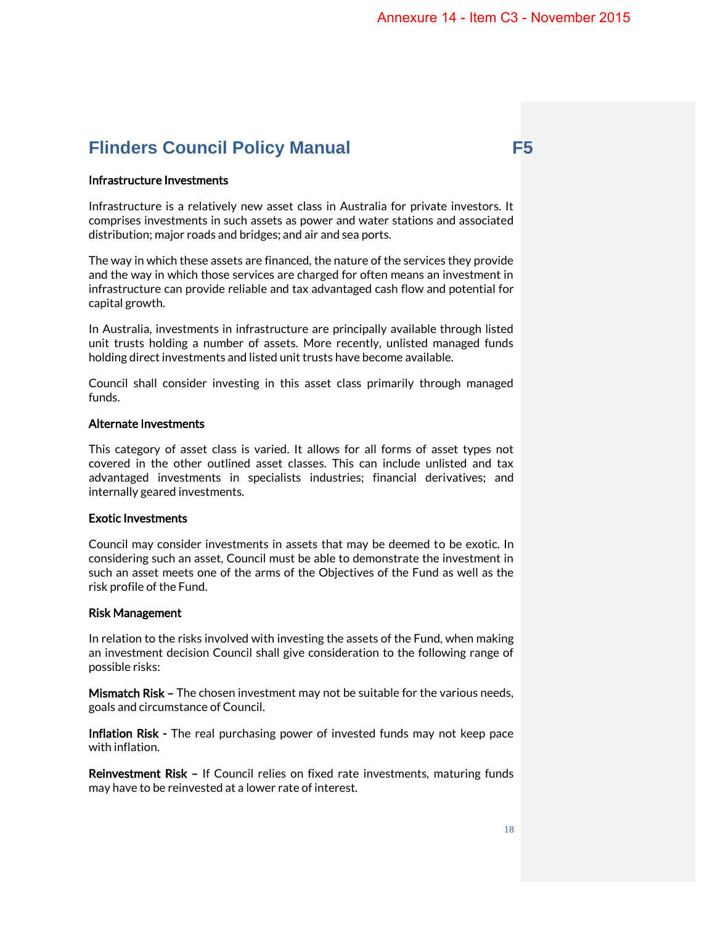### Infrastructure Investments

Infrastructure is a relatively new asset class in Australia for private investors. It comprises investments in such assets as power and water stations and associated distribution; major roads and bridges; and air and sea ports.

The way in which these assets are financed, the nature of the services they provide and the way in which those services are charged for often means an investment in infrastructure can provide reliable and tax advantaged cash flow and potential for capital growth.

In Australia, investments in infrastructure are principally available through listed unit trusts holding a number of assets. More recently, unlisted managed funds holding direct investments and listed unit trusts have become available.

Council shall consider investing in this asset class primarily through managed funds.

## Alternate Investments

This category of asset class is varied. It allows for all forms of asset types not covered in the other outlined asset classes. This can include unlisted and tax advantaged investments in specialists industries; financial derivatives; and internally geared investments.

#### Exotic Investments

Council may consider investments in assets that may be deemed to be exotic. In considering such an asset, Council must be able to demonstrate the investment in such an asset meets one of the arms of the Objectives of the Fund as well as the risk profile of the Fund.

#### Risk Management

In relation to the risks involved with investing the assets of the Fund, when making an investment decision Council shall give consideration to the following range of possible risks:

Mismatch Risk – The chosen investment may not be suitable for the various needs, goals and circumstance of Council.

Inflation Risk - The real purchasing power of invested funds may not keep pace with inflation.

Reinvestment Risk – If Council relies on fixed rate investments, maturing funds may have to be reinvested at a lower rate of interest.